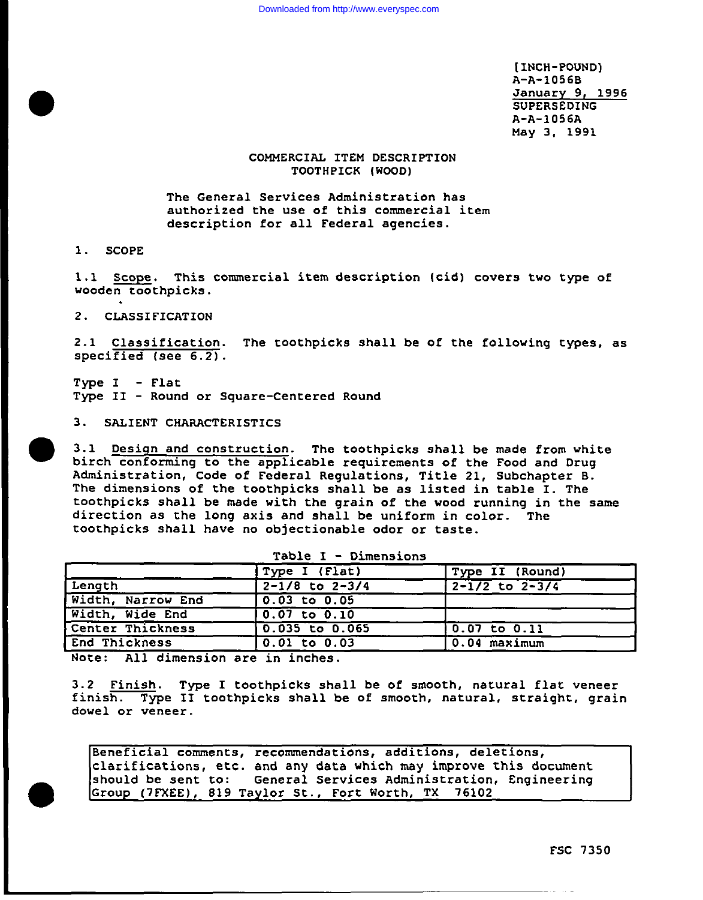**[INCH-pOUND) A-A-1056B January 9, 1996 SUPERSEDING** A-A-1056A May 3, 1991

## **COMMERCIAL** ITEM DESCRIPTION TOOTHPICK (WOOD)

The General Services Administration has authorized the use of this **commercial item description for all Federal agencies.**

**1.** SCOPE

●

●

1.1 Scope. This commercial item description (cid) covers two type of wooden toothpicks.

2. CLASSIFICATION

2.1 Classification. The toothpicks shall be of the following types, as specified (see  $6.2$ ).

Type **I -** Flat Type II - **Round or Square-Centered Round**

3. SALIENT CHARACTERISTICS

3.1 Design and construction. The toothpicks shall be **made** from white birch conforming to the applicable requirements of the Food and Drug Administration, **Code of Federal Regulations, Title 21,** Subchapter B. The dimensions of the toothpicks shall be as listed in table I. The toothpicks shall be made with the grain of the wood running in the same direction as the long axis **and** shall be uniform in color. The toothpicks shall have no objectionable odor or taste.

|                   | Type I (Flat)             | Type II (Round)                                   |
|-------------------|---------------------------|---------------------------------------------------|
| Length            | $\sqrt{2-1/8}$ to $2-3/4$ | $2 - 1/2$ to $2 - 3/4$                            |
| Width, Narrow End | $0.03$ to $0.05$          |                                                   |
| Width, Wide End   | $0.07$ to $0.10$          |                                                   |
| Center Thickness  | $0.035$ to $0.065$        | $\begin{bmatrix} 0.07 & t_0 & 0.11 \end{bmatrix}$ |
| End Thickness     | $0.01$ to $0.03$          | $0.04$ maximum                                    |

Table I - **Dimensions**

Note: All dimension are in inches.

3.2 Finish. Type I toothpicks shall be of **smooth, natural flat veneer finish. Type <sup>11</sup> toothpicks** shall be of smooth, natural, straight, grain dowel or veneer.

Beneficial comments, recommendations, additions, deletions, clarifications, etc. and any data which may improve this document<br>should be sent to: Ceneral Services Administration, Engineering General Services Administration, Engineering Group (7FXEE), 819 Taylor St., **Fort** Worth, TX 76102